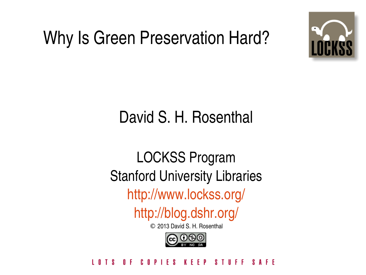### Why Is Green Preservation Hard?



### David S. H. Rosenthal

### LOCKSS Program Stanford University Libraries <http://www.lockss.org/>

<http://blog.dshr.org/>

© 2013 David S. H. Rosenthal



### IFS KEEP  $S I I F F$ AFF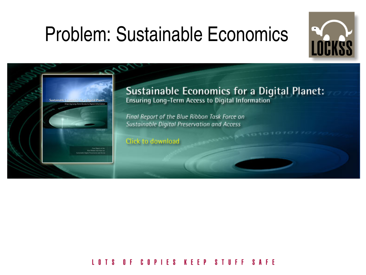## Problem: Sustainable Economics





Sustainable Economics for a Digital Planet:<br>Ensuring Long-Term Access to Digital Information

 $101010101$ 

Final Report of the Blue Ribbon Task Force on Sustainable Digital Preservation and Access

Click to download

### COPIES KEEP STUFF I O T S n F **SAFF**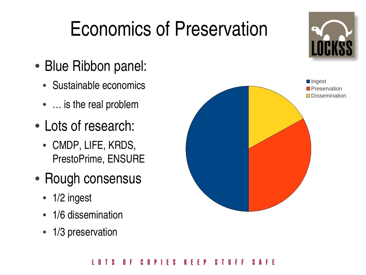## Economics of Preservation

- Blue Ribbon panel:
	- Sustainable economics
	- ... is the real problem
- Lots of research:
	- CMDP, LIFE, KRDS, PrestoPrime, ENSURE
- Rough consensus
	- 1/2 ingest
	- 1/6 dissemination
	- 1/3 preservation

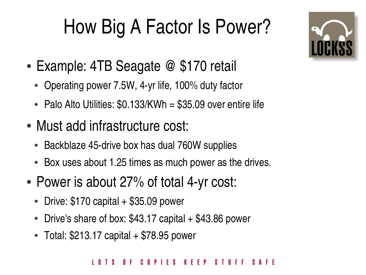# How Big A Factor Is Power?

- Example: 4TB Seagate  $@$  \$170 retail
	- Operating power 7.5W, 4-yr life, 100% duty factor
	- Palo Alto Utilities:  $$0.133/KWh = $35.09$  over entire life
- Must add infrastructure cost:
	- Backblaze 45-drive box has dual 760W supplies
	- Box uses about 1.25 times as much power as the drives.
- Power is about 27% of total 4-yr cost:
	- Drive:  $$170$  capital  $+$  \$35.09 power
	- Drive's share of box:  $$43.17$  capital  $+ $43.86$  power
	- $\bullet$  Total: \$213.17 capital  $+$  \$78.95 power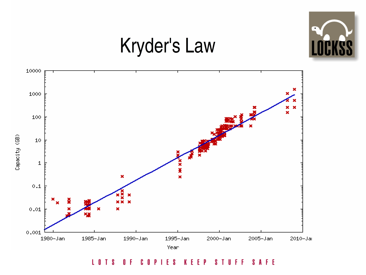

## **Kryder's Law**



**STUFF** LOTS COPIES **KEEP** SAFE  $0 F$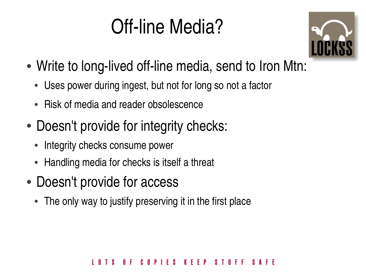## Off-line Media?



- Write to long-lived off-line media, send to Iron Mtn:
	- Uses power during ingest, but not for long so not a factor
	- Risk of media and reader obsolescence
- Doesn't provide for integrity checks:
	- Integrity checks consume power
	- Handling media for checks is itself a threat
- Doesn't provide for access
	- The only way to justify preserving it in the first place

### COPIES KEEP **STILFF**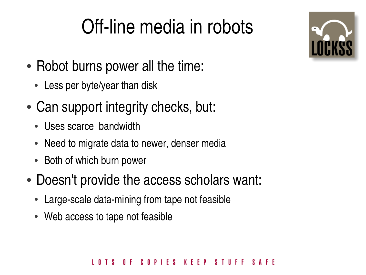## Off-line media in robots

- Robot burns power all the time:
	- Less per byte/year than disk
- Can support integrity checks, but:
	- Uses scarce bandwidth
	- Need to migrate data to newer, denser media
	- Both of which burn power
- Doesn't provide the access scholars want:
	- Large-scale data-mining from tape not feasible
	- Web access to tape not feasible



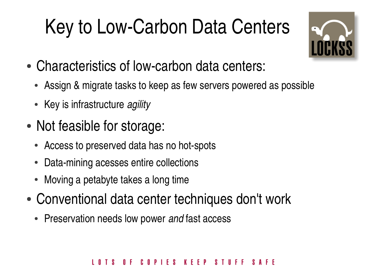# Key to Low-Carbon Data Centers



- Characteristics of low-carbon data centers:
	- Assign & migrate tasks to keep as few servers powered as possible
	- Key is infrastructure *agility*
- Not feasible for storage:
	- Access to preserved data has no hot-spots
	- Data-mining acesses entire collections
	- Moving a petabyte takes a long time
- Conventional data center techniques don't work
	- Preservation needs low power and fast access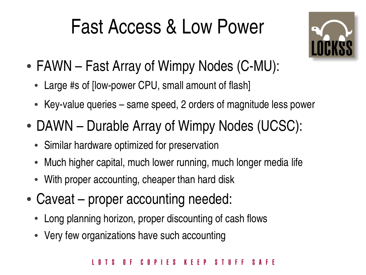## Fast Access & Low Power



- $\bullet$  FAWN Fast Array of Wimpy Nodes (C-MU):
	- Large #s of [low-power CPU, small amount of flash]
	- Key-value queries same speed, 2 orders of magnitude less power
- DAWN Durable Array of Wimpy Nodes (UCSC):
	- Similar hardware optimized for preservation
	- Much higher capital, much lower running, much longer media life
	- With proper accounting, cheaper than hard disk
- Caveat proper accounting needed:
	- Long planning horizon, proper discounting of cash flows
	- Very few organizations have such accounting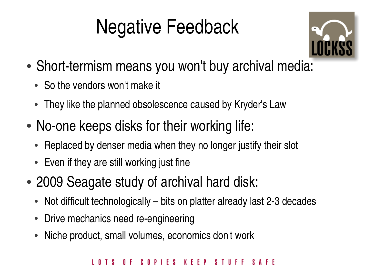## Negative Feedback



- Short-termism means you won't buy archival media:
	- So the vendors won't make it
	- They like the planned obsolescence caused by Kryder's Law
- No-one keeps disks for their working life:
	- Replaced by denser media when they no longer justify their slot
	- Even if they are still working just fine
- 2009 Seagate study of archival hard disk:
	- Not difficult technologically bits on platter already last 2-3 decades
	- Drive mechanics need re-engineering
	- Niche product, small volumes, economics don't work